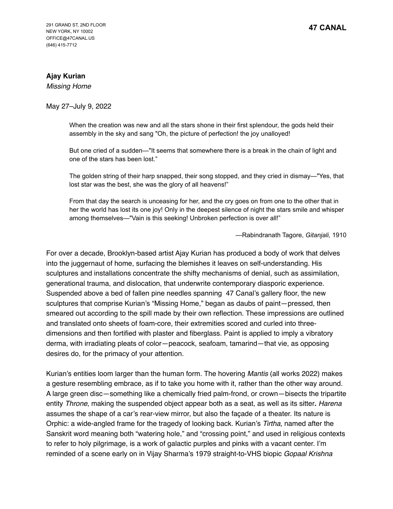## **Ajay Kurian**

*Missing Home*

## May 27–July 9, 2022

When the creation was new and all the stars shone in their first splendour, the gods held their assembly in the sky and sang "Oh, the picture of perfection! the joy unalloyed!

But one cried of a sudden—"It seems that somewhere there is a break in the chain of light and one of the stars has been lost."

The golden string of their harp snapped, their song stopped, and they cried in dismay—"Yes, that lost star was the best, she was the glory of all heavens!"

From that day the search is unceasing for her, and the cry goes on from one to the other that in her the world has lost its one joy! Only in the deepest silence of night the stars smile and whisper among themselves—"Vain is this seeking! Unbroken perfection is over all!"

—Rabindranath Tagore, *Gitanjali,* 1910

For over a decade, Brooklyn-based artist Ajay Kurian has produced a body of work that delves into the juggernaut of home, surfacing the blemishes it leaves on self-understanding. His sculptures and installations concentrate the shifty mechanisms of denial, such as assimilation, generational trauma, and dislocation, that underwrite contemporary diasporic experience. Suspended above a bed of fallen pine needles spanning 47 Canal's gallery floor, the new sculptures that comprise Kurian's "Missing Home," began as daubs of paint—pressed, then smeared out according to the spill made by their own reflection. These impressions are outlined and translated onto sheets of foam-core, their extremities scored and curled into threedimensions and then fortified with plaster and fiberglass. Paint is applied to imply a vibratory derma, with irradiating pleats of color—peacock, seafoam, tamarind—that vie, as opposing desires do, for the primacy of your attention.

Kurian's entities loom larger than the human form. The hovering *Mantis* (all works 2022) makes a gesture resembling embrace, as if to take you home with it, rather than the other way around. A large green disc—something like a chemically fried palm-frond, or crown—bisects the tripartite entity *Throne*, making the suspended object appear both as a seat, as well as its sitter**.** *Harena* assumes the shape of a car's rear-view mirror, but also the façade of a theater. Its nature is Orphic: a wide-angled frame for the tragedy of looking back. Kurian's *Tirtha*, named after the Sanskrit word meaning both "watering hole," and "crossing point," and used in religious contexts to refer to holy pilgrimage, is a work of galactic purples and pinks with a vacant center. I'm reminded of a scene early on in Vijay Sharma's 1979 straight-to-VHS biopic *Gopaal Krishna*